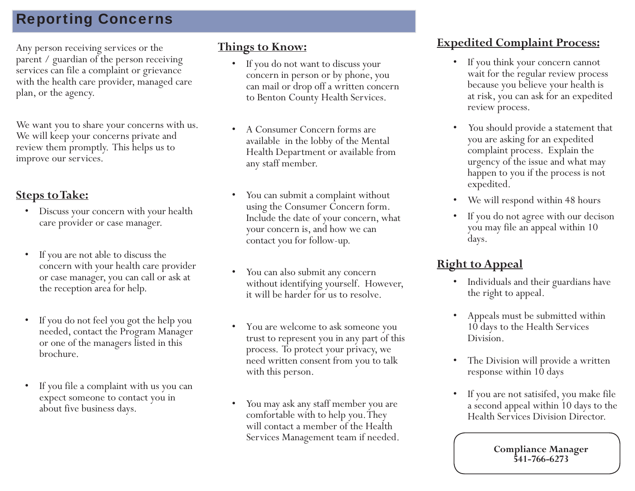# Reporting Concerns

Any person receiving services or the **Things to Know:** parent / guardian of the person receiving services can file a complaint or grievance with the health care provider, managed care <sup>p</sup>lan, or the agency.

We want you to share your concerns with us. We will keep your concerns private and review them promptly. This helps us to improve our services.

#### **Steps to Take:**

- Discuss your concern with your health care provider or case manager.
- If you are not able to discuss the concern with your health care provider or case manager, you can call or ask at the reception area for help.
- If you do not feel you got the help you needed, contact the Program Manager or one of the managers listed in this brochure.
- If you file a complaint with us you can expect someone to contact you in about five business days.

- If you do not want to discuss your concern in person or by phone, you can mail or drop off a written concern to Benton County Health Services.
- A Consumer Concern forms are available in the lobby of the Mental Health Department or available from any staff member.
- You can submit a complaint without using the Consumer Concern form. Include the date of your concern, what your concern is, and how we can contact you for follow-up.
- You can also submit any concern without identifying yourself. However, it will be harder for us to resolve.
- You are welcome to ask someone you trust to represent you in any part of this process. To protect your privacy, we need written consent from you to talk with this person.
- You may ask any staff member you are comfortable with to help you. They will contact a member of the Health Services Management team if needed.

### **Expedited Complaint Process:**

- If you think your concern cannot wait for the regular review process because you believe your health is at risk, you can ask for an expedited review process.
- You should provide a statement that you are asking for an expedited complaint process. Explain the urgency of the issue and what may happen to you if the process is not expedited.
- We will respond within 48 hours
- If you do not agree with our decison you may file an appeal within 10 days.

## **Right to Appeal**

- Individuals and their guardians have the right to appeal.
- Appeals must be submitted within 10 days to the Health Services Division.
- The Division will provide a written response within 10 days
- If you are not satisifed, you make file a second appeal within 10 days to the Health Services Division Director.

**Compliance Manager 541-766-6273**